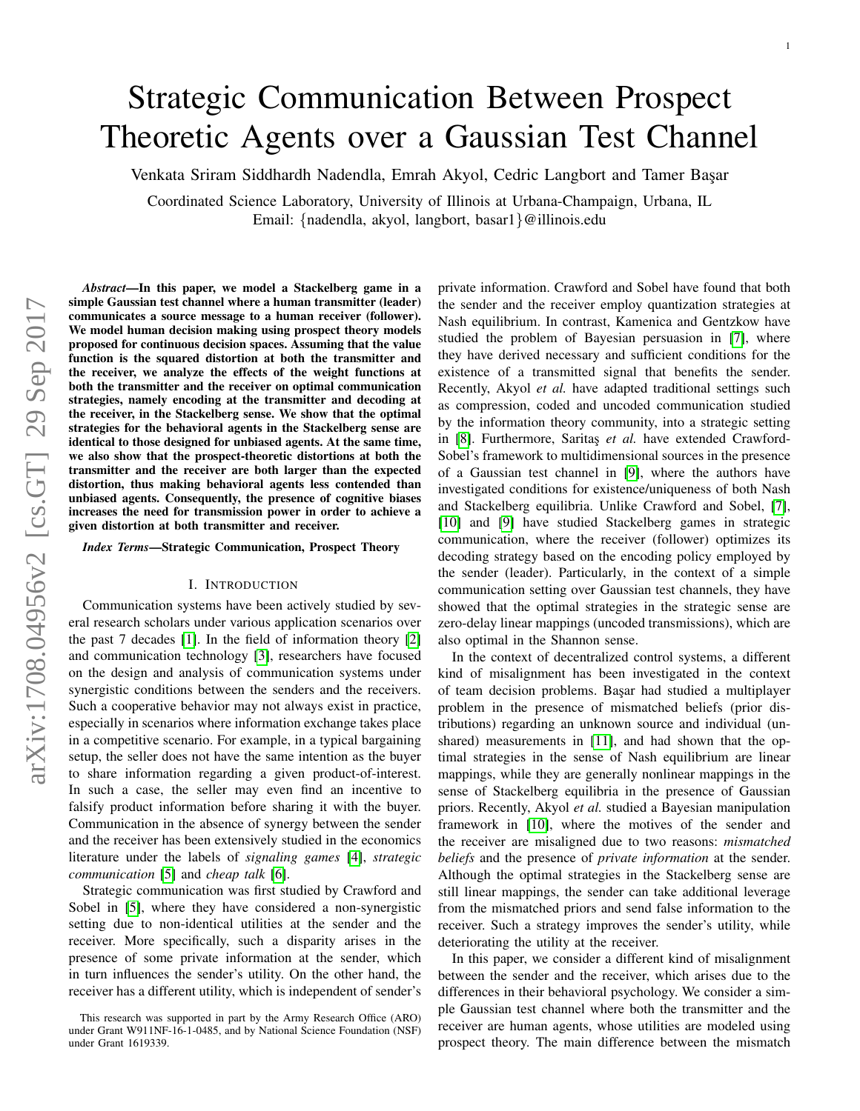# Theoretic Agents over a Gaussian Test Channel Venkata Sriram Siddhardh Nadendla, Emrah Akyol, Cedric Langbort and Tamer Başar Coordinated Science Laboratory, University of Illinois at Urbana-Champaign, Urbana, IL Email: {nadendla, akyol, langbort, basar1}@illinois.edu *Abstract*—In this paper, we model a Stackelberg game in a

simple Gaussian test channel where a human transmitter (leader) communicates a source message to a human receiver (follower). We model human decision making using prospect theory models proposed for continuous decision spaces. Assuming that the value function is the squared distortion at both the transmitter and the receiver, we analyze the effects of the weight functions at both the transmitter and the receiver on optimal communication strategies, namely encoding at the transmitter and decoding at the receiver, in the Stackelberg sense. We show that the optimal strategies for the behavioral agents in the Stackelberg sense are identical to those designed for unbiased agents. At the same time, we also show that the prospect-theoretic distortions at both the transmitter and the receiver are both larger than the expected distortion, thus making behavioral agents less contended than unbiased agents. Consequently, the presence of cognitive biases increases the need for transmission power in order to achieve a given distortion at both transmitter and receiver.

Strategic Communication Between Prospect

*Index Terms*—Strategic Communication, Prospect Theory

## I. INTRODUCTION

Communication systems have been actively studied by several research scholars under various application scenarios over the past 7 decades [\[1\]](#page-5-0). In the field of information theory [\[2\]](#page-5-1) and communication technology [\[3\]](#page-5-2), researchers have focused on the design and analysis of communication systems under synergistic conditions between the senders and the receivers. Such a cooperative behavior may not always exist in practice, especially in scenarios where information exchange takes place in a competitive scenario. For example, in a typical bargaining setup, the seller does not have the same intention as the buyer to share information regarding a given product-of-interest. In such a case, the seller may even find an incentive to falsify product information before sharing it with the buyer. Communication in the absence of synergy between the sender and the receiver has been extensively studied in the economics literature under the labels of *signaling games* [\[4\]](#page-5-3), *strategic communication* [\[5\]](#page-5-4) and *cheap talk* [\[6\]](#page-5-5).

Strategic communication was first studied by Crawford and Sobel in [\[5\]](#page-5-4), where they have considered a non-synergistic setting due to non-identical utilities at the sender and the receiver. More specifically, such a disparity arises in the presence of some private information at the sender, which in turn influences the sender's utility. On the other hand, the receiver has a different utility, which is independent of sender's

private information. Crawford and Sobel have found that both the sender and the receiver employ quantization strategies at Nash equilibrium. In contrast, Kamenica and Gentzkow have studied the problem of Bayesian persuasion in [\[7\]](#page-5-6), where they have derived necessary and sufficient conditions for the existence of a transmitted signal that benefits the sender. Recently, Akyol *et al.* have adapted traditional settings such as compression, coded and uncoded communication studied by the information theory community, into a strategic setting in [\[8\]](#page-5-7). Furthermore, Saritas et al. have extended Crawford-Sobel's framework to multidimensional sources in the presence of a Gaussian test channel in [\[9\]](#page-5-8), where the authors have investigated conditions for existence/uniqueness of both Nash and Stackelberg equilibria. Unlike Crawford and Sobel, [\[7\]](#page-5-6), [\[10\]](#page-5-9) and [\[9\]](#page-5-8) have studied Stackelberg games in strategic communication, where the receiver (follower) optimizes its decoding strategy based on the encoding policy employed by the sender (leader). Particularly, in the context of a simple communication setting over Gaussian test channels, they have showed that the optimal strategies in the strategic sense are zero-delay linear mappings (uncoded transmissions), which are also optimal in the Shannon sense.

In the context of decentralized control systems, a different kind of misalignment has been investigated in the context of team decision problems. Başar had studied a multiplayer problem in the presence of mismatched beliefs (prior distributions) regarding an unknown source and individual (unshared) measurements in [\[11\]](#page-5-10), and had shown that the optimal strategies in the sense of Nash equilibrium are linear mappings, while they are generally nonlinear mappings in the sense of Stackelberg equilibria in the presence of Gaussian priors. Recently, Akyol *et al.* studied a Bayesian manipulation framework in [\[10\]](#page-5-9), where the motives of the sender and the receiver are misaligned due to two reasons: *mismatched beliefs* and the presence of *private information* at the sender. Although the optimal strategies in the Stackelberg sense are still linear mappings, the sender can take additional leverage from the mismatched priors and send false information to the receiver. Such a strategy improves the sender's utility, while deteriorating the utility at the receiver.

In this paper, we consider a different kind of misalignment between the sender and the receiver, which arises due to the differences in their behavioral psychology. We consider a simple Gaussian test channel where both the transmitter and the receiver are human agents, whose utilities are modeled using prospect theory. The main difference between the mismatch

This research was supported in part by the Army Research Office (ARO) under Grant W911NF-16-1-0485, and by National Science Foundation (NSF) under Grant 1619339.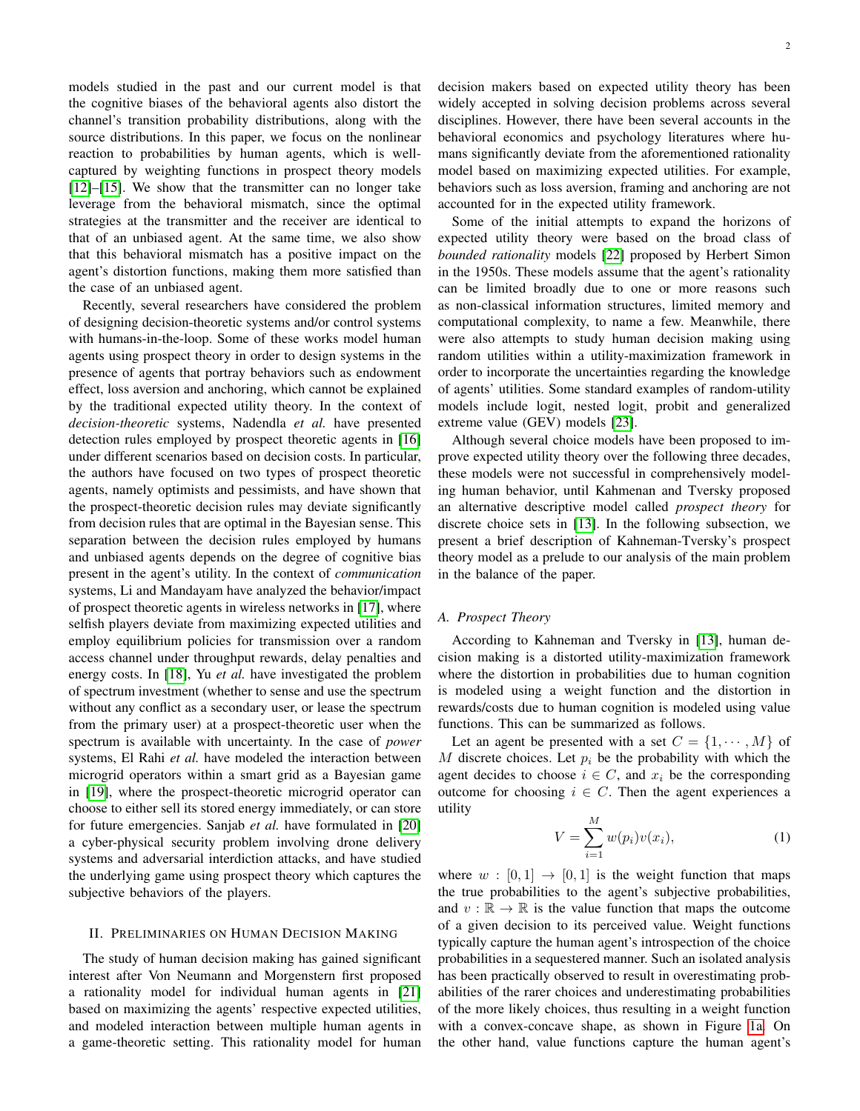models studied in the past and our current model is that the cognitive biases of the behavioral agents also distort the channel's transition probability distributions, along with the source distributions. In this paper, we focus on the nonlinear reaction to probabilities by human agents, which is wellcaptured by weighting functions in prospect theory models [\[12\]](#page-5-11)–[\[15\]](#page-5-12). We show that the transmitter can no longer take leverage from the behavioral mismatch, since the optimal strategies at the transmitter and the receiver are identical to that of an unbiased agent. At the same time, we also show that this behavioral mismatch has a positive impact on the agent's distortion functions, making them more satisfied than the case of an unbiased agent.

Recently, several researchers have considered the problem of designing decision-theoretic systems and/or control systems with humans-in-the-loop. Some of these works model human agents using prospect theory in order to design systems in the presence of agents that portray behaviors such as endowment effect, loss aversion and anchoring, which cannot be explained by the traditional expected utility theory. In the context of *decision-theoretic* systems, Nadendla *et al.* have presented detection rules employed by prospect theoretic agents in [\[16\]](#page-5-13) under different scenarios based on decision costs. In particular, the authors have focused on two types of prospect theoretic agents, namely optimists and pessimists, and have shown that the prospect-theoretic decision rules may deviate significantly from decision rules that are optimal in the Bayesian sense. This separation between the decision rules employed by humans and unbiased agents depends on the degree of cognitive bias present in the agent's utility. In the context of *communication* systems, Li and Mandayam have analyzed the behavior/impact of prospect theoretic agents in wireless networks in [\[17\]](#page-5-14), where selfish players deviate from maximizing expected utilities and employ equilibrium policies for transmission over a random access channel under throughput rewards, delay penalties and energy costs. In [\[18\]](#page-5-15), Yu *et al.* have investigated the problem of spectrum investment (whether to sense and use the spectrum without any conflict as a secondary user, or lease the spectrum from the primary user) at a prospect-theoretic user when the spectrum is available with uncertainty. In the case of *power* systems, El Rahi *et al.* have modeled the interaction between microgrid operators within a smart grid as a Bayesian game in [\[19\]](#page-5-16), where the prospect-theoretic microgrid operator can choose to either sell its stored energy immediately, or can store for future emergencies. Sanjab *et al.* have formulated in [\[20\]](#page-5-17) a cyber-physical security problem involving drone delivery systems and adversarial interdiction attacks, and have studied the underlying game using prospect theory which captures the subjective behaviors of the players.

### II. PRELIMINARIES ON HUMAN DECISION MAKING

The study of human decision making has gained significant interest after Von Neumann and Morgenstern first proposed a rationality model for individual human agents in [\[21\]](#page-5-18) based on maximizing the agents' respective expected utilities, and modeled interaction between multiple human agents in a game-theoretic setting. This rationality model for human decision makers based on expected utility theory has been widely accepted in solving decision problems across several disciplines. However, there have been several accounts in the behavioral economics and psychology literatures where humans significantly deviate from the aforementioned rationality model based on maximizing expected utilities. For example, behaviors such as loss aversion, framing and anchoring are not accounted for in the expected utility framework.

Some of the initial attempts to expand the horizons of expected utility theory were based on the broad class of *bounded rationality* models [\[22\]](#page-5-19) proposed by Herbert Simon in the 1950s. These models assume that the agent's rationality can be limited broadly due to one or more reasons such as non-classical information structures, limited memory and computational complexity, to name a few. Meanwhile, there were also attempts to study human decision making using random utilities within a utility-maximization framework in order to incorporate the uncertainties regarding the knowledge of agents' utilities. Some standard examples of random-utility models include logit, nested logit, probit and generalized extreme value (GEV) models [\[23\]](#page-5-20).

Although several choice models have been proposed to improve expected utility theory over the following three decades, these models were not successful in comprehensively modeling human behavior, until Kahmenan and Tversky proposed an alternative descriptive model called *prospect theory* for discrete choice sets in [\[13\]](#page-5-21). In the following subsection, we present a brief description of Kahneman-Tversky's prospect theory model as a prelude to our analysis of the main problem in the balance of the paper.

# *A. Prospect Theory*

According to Kahneman and Tversky in [\[13\]](#page-5-21), human decision making is a distorted utility-maximization framework where the distortion in probabilities due to human cognition is modeled using a weight function and the distortion in rewards/costs due to human cognition is modeled using value functions. This can be summarized as follows.

Let an agent be presented with a set  $C = \{1, \dots, M\}$  of M discrete choices. Let  $p_i$  be the probability with which the agent decides to choose  $i \in C$ , and  $x_i$  be the corresponding outcome for choosing  $i \in C$ . Then the agent experiences a utility

$$
V = \sum_{i=1}^{M} w(p_i)v(x_i),
$$
 (1)

where  $w : [0, 1] \rightarrow [0, 1]$  is the weight function that maps the true probabilities to the agent's subjective probabilities, and  $v : \mathbb{R} \to \mathbb{R}$  is the value function that maps the outcome of a given decision to its perceived value. Weight functions typically capture the human agent's introspection of the choice probabilities in a sequestered manner. Such an isolated analysis has been practically observed to result in overestimating probabilities of the rarer choices and underestimating probabilities of the more likely choices, thus resulting in a weight function with a convex-concave shape, as shown in Figure [1a.](#page-2-0) On the other hand, value functions capture the human agent's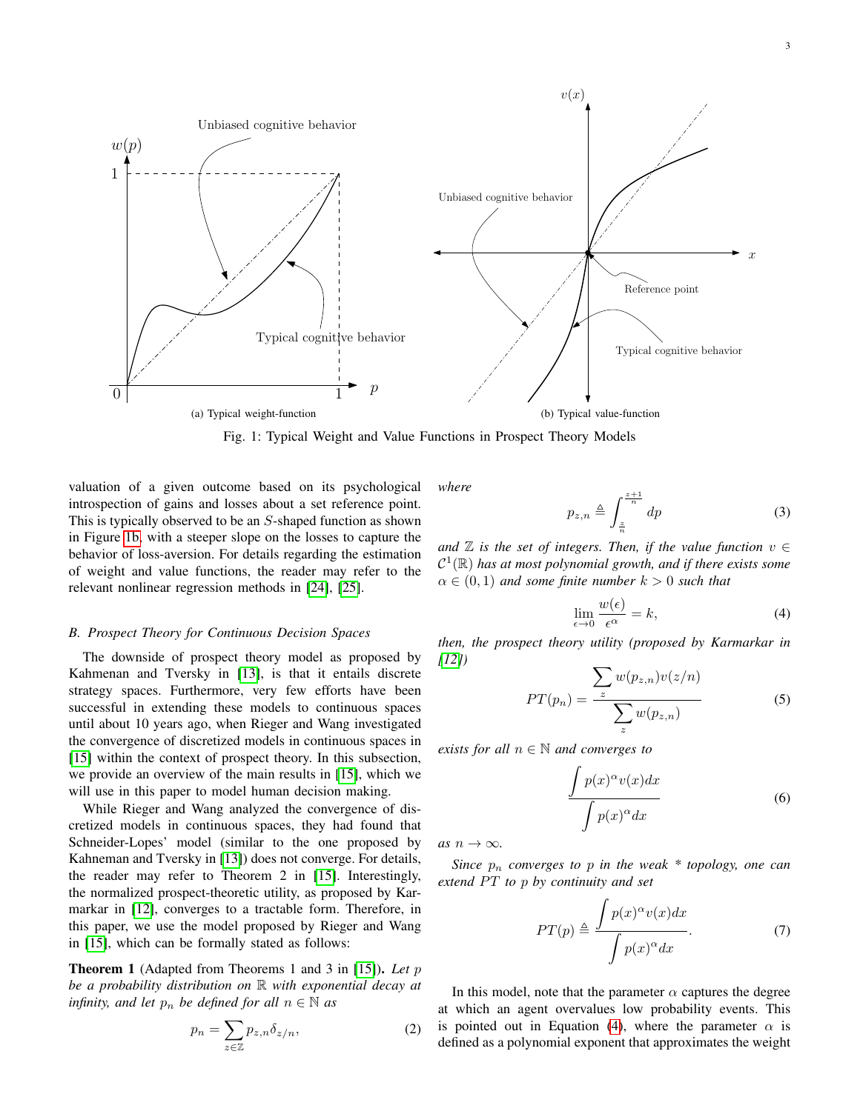

Fig. 1: Typical Weight and Value Functions in Prospect Theory Models

<span id="page-2-0"></span>valuation of a given outcome based on its psychological introspection of gains and losses about a set reference point. This is typically observed to be an S-shaped function as shown in Figure [1b,](#page-2-1) with a steeper slope on the losses to capture the behavior of loss-aversion. For details regarding the estimation of weight and value functions, the reader may refer to the relevant nonlinear regression methods in [\[24\]](#page-5-22), [\[25\]](#page-5-23).

# *B. Prospect Theory for Continuous Decision Spaces*

The downside of prospect theory model as proposed by Kahmenan and Tversky in [\[13\]](#page-5-21), is that it entails discrete strategy spaces. Furthermore, very few efforts have been successful in extending these models to continuous spaces until about 10 years ago, when Rieger and Wang investigated the convergence of discretized models in continuous spaces in [\[15\]](#page-5-12) within the context of prospect theory. In this subsection, we provide an overview of the main results in [\[15\]](#page-5-12), which we will use in this paper to model human decision making.

While Rieger and Wang analyzed the convergence of discretized models in continuous spaces, they had found that Schneider-Lopes' model (similar to the one proposed by Kahneman and Tversky in [\[13\]](#page-5-21)) does not converge. For details, the reader may refer to Theorem 2 in [\[15\]](#page-5-12). Interestingly, the normalized prospect-theoretic utility, as proposed by Karmarkar in [\[12\]](#page-5-11), converges to a tractable form. Therefore, in this paper, we use the model proposed by Rieger and Wang in [\[15\]](#page-5-12), which can be formally stated as follows:

Theorem 1 (Adapted from Theorems 1 and 3 in [\[15\]](#page-5-12)). *Let* p *be a probability distribution on* R *with exponential decay at infinity, and let*  $p_n$  *be defined for all*  $n \in \mathbb{N}$  *as* 

$$
p_n = \sum_{z \in \mathbb{Z}} p_{z,n} \delta_{z/n},\tag{2}
$$

<span id="page-2-1"></span>*where*

$$
p_{z,n} \triangleq \int_{\frac{z}{n}}^{\frac{z+1}{n}} dp \tag{3}
$$

*and*  $\mathbb Z$  *is the set of integers. Then, if the value function*  $v \in \mathbb Z$  $\mathcal{C}^1(\mathbb{R})$  has at most polynomial growth, and if there exists some  $\alpha \in (0,1)$  *and some finite number*  $k > 0$  *such that* 

<span id="page-2-2"></span>
$$
\lim_{\epsilon \to 0} \frac{w(\epsilon)}{\epsilon^{\alpha}} = k,\tag{4}
$$

*then, the prospect theory utility (proposed by Karmarkar in [\[12\]](#page-5-11))*

$$
PT(p_n) = \frac{\sum_{z} w(p_{z,n})v(z/n)}{\sum_{z} w(p_{z,n})}
$$
(5)

*exists for all*  $n \in \mathbb{N}$  *and converges to* 

$$
\frac{\int p(x)^{\alpha}v(x)dx}{\int p(x)^{\alpha}dx}
$$
\n(6)

*as*  $n \to \infty$ *.* 

*Since*  $p_n$  *converges to*  $p$  *in the weak \* topology, one can extend PT to p by continuity and set* 

<span id="page-2-3"></span>
$$
PT(p) \triangleq \frac{\int p(x)^{\alpha} v(x) dx}{\int p(x)^{\alpha} dx}.
$$
 (7)

In this model, note that the parameter  $\alpha$  captures the degree at which an agent overvalues low probability events. This is pointed out in Equation [\(4\)](#page-2-2), where the parameter  $\alpha$  is defined as a polynomial exponent that approximates the weight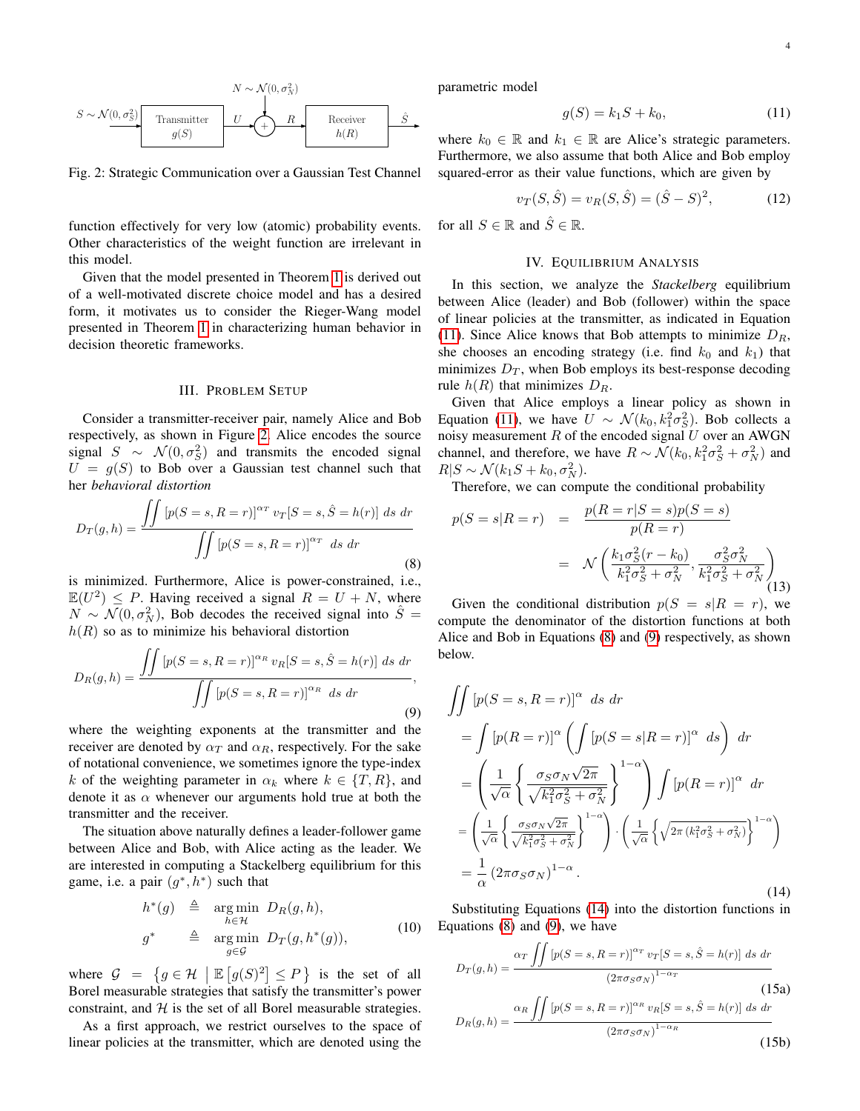<span id="page-3-0"></span>

Fig. 2: Strategic Communication over a Gaussian Test Channel

function effectively for very low (atomic) probability events. Other characteristics of the weight function are irrelevant in this model.

Given that the model presented in Theorem [1](#page-2-3) is derived out of a well-motivated discrete choice model and has a desired form, it motivates us to consider the Rieger-Wang model presented in Theorem [1](#page-2-3) in characterizing human behavior in decision theoretic frameworks.

#### III. PROBLEM SETUP

Consider a transmitter-receiver pair, namely Alice and Bob respectively, as shown in Figure [2.](#page-3-0) Alice encodes the source signal  $S \sim \mathcal{N}(0, \sigma_S^2)$  and transmits the encoded signal  $U = g(S)$  to Bob over a Gaussian test channel such that her *behavioral distortion*

<span id="page-3-2"></span>
$$
D_T(g, h) = \frac{\iint \left[ p(S = s, R = r) \right]^{\alpha_T} v_T[S = s, \hat{S} = h(r)] ds dr}{\iint \left[ p(S = s, R = r) \right]^{\alpha_T} ds dr}
$$
\n(8)

is minimized. Furthermore, Alice is power-constrained, i.e.,  $\mathbb{E}(U^2) \leq P$ . Having received a signal  $R = U + N$ , where  $N \sim \mathcal{N}(0, \sigma_N^2)$ , Bob decodes the received signal into  $\hat{S} =$  $h(R)$  so as to minimize his behavioral distortion

<span id="page-3-3"></span>
$$
D_R(g, h) = \frac{\iint \left[ p(S = s, R = r) \right]^{\alpha_R} v_R[S = s, \hat{S} = h(r)] \, ds \, dr}{\iint \left[ p(S = s, R = r) \right]^{\alpha_R} \, ds \, dr},\tag{9}
$$

where the weighting exponents at the transmitter and the receiver are denoted by  $\alpha_T$  and  $\alpha_R$ , respectively. For the sake of notational convenience, we sometimes ignore the type-index k of the weighting parameter in  $\alpha_k$  where  $k \in \{T, R\}$ , and denote it as  $\alpha$  whenever our arguments hold true at both the transmitter and the receiver.

The situation above naturally defines a leader-follower game between Alice and Bob, with Alice acting as the leader. We are interested in computing a Stackelberg equilibrium for this game, i.e. a pair  $(g^*, h^*)$  such that

$$
h^*(g) \triangleq \underset{\underset{g \in \mathcal{G}}{h \in \mathcal{H}}}{\arg \min} D_R(g, h),
$$
  
\n
$$
g^* \triangleq \underset{\underset{g \in \mathcal{G}}{g \in \mathcal{G}}}{\arg \min} D_T(g, h^*(g)),
$$
\n(10)

where  $G = \{ g \in \mathcal{H} \mid \mathbb{E} [g(S)^2] \leq P \}$  is the set of all Borel measurable strategies that satisfy the transmitter's power constraint, and  $H$  is the set of all Borel measurable strategies.

As a first approach, we restrict ourselves to the space of linear policies at the transmitter, which are denoted using the parametric model

<span id="page-3-1"></span>
$$
g(S) = k_1 S + k_0,\t\t(11)
$$

where  $k_0 \in \mathbb{R}$  and  $k_1 \in \mathbb{R}$  are Alice's strategic parameters. Furthermore, we also assume that both Alice and Bob employ squared-error as their value functions, which are given by

$$
v_T(S, \hat{S}) = v_R(S, \hat{S}) = (\hat{S} - S)^2,
$$
 (12)

for all  $S \in \mathbb{R}$  and  $\hat{S} \in \mathbb{R}$ .

## IV. EQUILIBRIUM ANALYSIS

In this section, we analyze the *Stackelberg* equilibrium between Alice (leader) and Bob (follower) within the space of linear policies at the transmitter, as indicated in Equation [\(11\)](#page-3-1). Since Alice knows that Bob attempts to minimize  $D_R$ , she chooses an encoding strategy (i.e. find  $k_0$  and  $k_1$ ) that minimizes  $D_T$ , when Bob employs its best-response decoding rule  $h(R)$  that minimizes  $D_R$ .

Given that Alice employs a linear policy as shown in Equation [\(11\)](#page-3-1), we have  $U \sim \mathcal{N}(k_0, k_1^2 \sigma_S^2)$ . Bob collects a noisy measurement  $R$  of the encoded signal  $U$  over an AWGN channel, and therefore, we have  $R \sim \mathcal{N}(k_0, k_1^2 \sigma_S^2 + \sigma_N^2)$  and  $R|S \sim \mathcal{N}(k_1 S + k_0, \sigma_N^2).$ 

Therefore, we can compute the conditional probability

$$
p(S = s | R = r) = \frac{p(R = r | S = s)p(S = s)}{p(R = r)}
$$

$$
= \mathcal{N}\left(\frac{k_1 \sigma_S^2 (r - k_0)}{k_1^2 \sigma_S^2 + \sigma_N^2}, \frac{\sigma_S^2 \sigma_N^2}{k_1^2 \sigma_S^2 + \sigma_N^2}\right)
$$
(13)

Given the conditional distribution  $p(S = s | R = r)$ , we compute the denominator of the distortion functions at both Alice and Bob in Equations [\(8\)](#page-3-2) and [\(9\)](#page-3-3) respectively, as shown below.

<span id="page-3-4"></span>
$$
\iint \left[ p(S = s, R = r) \right]^\alpha ds dr
$$
  
\n
$$
= \int \left[ p(R = r) \right]^\alpha \left( \int \left[ p(S = s | R = r) \right]^\alpha ds \right) dr
$$
  
\n
$$
= \left( \frac{1}{\sqrt{\alpha}} \left\{ \frac{\sigma_S \sigma_N \sqrt{2\pi}}{\sqrt{k_1^2 \sigma_S^2 + \sigma_N^2}} \right\}^{1-\alpha} \right) \int \left[ p(R = r) \right]^\alpha dr
$$
  
\n
$$
= \left( \frac{1}{\sqrt{\alpha}} \left\{ \frac{\sigma_S \sigma_N \sqrt{2\pi}}{\sqrt{k_1^2 \sigma_S^2 + \sigma_N^2}} \right\}^{1-\alpha} \right) \cdot \left( \frac{1}{\sqrt{\alpha}} \left\{ \sqrt{2\pi \left( k_1^2 \sigma_S^2 + \sigma_N^2 \right)} \right\}^{1-\alpha} \right)
$$
  
\n
$$
= \frac{1}{\alpha} \left( 2\pi \sigma_S \sigma_N \right)^{1-\alpha} .
$$
  
\n(14)

Substituting Equations [\(14\)](#page-3-4) into the distortion functions in Equations [\(8\)](#page-3-2) and [\(9\)](#page-3-3), we have

<span id="page-3-5"></span>
$$
D_T(g, h) = \frac{\alpha_T \iint \left[ p(S = s, R = r) \right]^{\alpha_T} v_T[S = s, \hat{S} = h(r)] ds dr}{(2\pi\sigma_S\sigma_N)^{1-\alpha_T}}
$$
(15a)  

$$
D_R(g, h) = \frac{\alpha_R \iint \left[ p(S = s, R = r) \right]^{\alpha_R} v_R[S = s, \hat{S} = h(r)] ds dr}{(2\pi\sigma_S\sigma_N)^{1-\alpha_R}}
$$
(15b)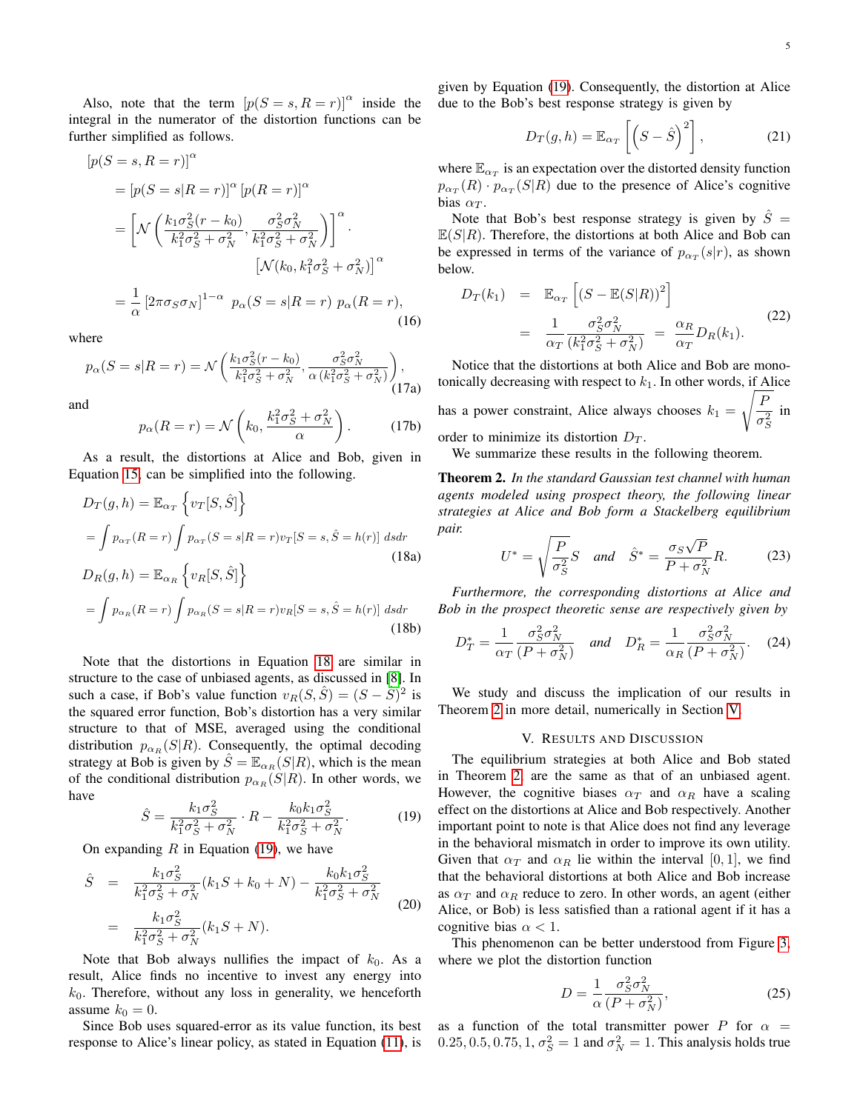Also, note that the term  $[p(S = s, R = r)]^{\alpha}$  inside the integral in the numerator of the distortion functions can be further simplified as follows.

$$
[p(S = s, R = r)]^{\alpha}
$$
  
\n
$$
= [p(S = s | R = r)]^{\alpha} [p(R = r)]^{\alpha}
$$
  
\n
$$
= \left[ \mathcal{N} \left( \frac{k_1 \sigma_S^2 (r - k_0)}{k_1^2 \sigma_S^2 + \sigma_N^2}, \frac{\sigma_S^2 \sigma_N^2}{k_1^2 \sigma_S^2 + \sigma_N^2} \right) \right]^{\alpha}.
$$
  
\n
$$
= \frac{1}{\alpha} \left[ 2\pi \sigma_S \sigma_N \right]^{1-\alpha} p_\alpha (S = s | R = r) p_\alpha (R = r),
$$
  
\n(16)

where

$$
p_{\alpha}(S=s|R=r) = \mathcal{N}\left(\frac{k_1\sigma_S^2(r-k_0)}{k_1^2\sigma_S^2 + \sigma_N^2}, \frac{\sigma_S^2\sigma_N^2}{\alpha\left(k_1^2\sigma_S^2 + \sigma_N^2\right)}\right),\tag{17a}
$$

and

$$
p_{\alpha}(R=r) = \mathcal{N}\left(k_0, \frac{k_1^2 \sigma_S^2 + \sigma_N^2}{\alpha}\right). \tag{17b}
$$

As a result, the distortions at Alice and Bob, given in Equation [15,](#page-3-5) can be simplified into the following.

$$
D_T(g, h) = \mathbb{E}_{\alpha_T} \left\{ v_T[S, \hat{S}] \right\}
$$
  
=  $\int p_{\alpha_T}(R = r) \int p_{\alpha_T}(S = s | R = r) v_T[S = s, \hat{S} = h(r)] ds dr$   
(18a)  

$$
D_R(g, h) = \mathbb{E}_{\alpha_R} \left\{ v_R[S, \hat{S}] \right\}
$$
  
=  $\int p_{\alpha_R}(R = r) \int p_{\alpha_R}(S = s | R = r) v_R[S = s, \hat{S} = h(r)] ds dr$   
(18b)

<span id="page-4-0"></span>Note that the distortions in Equation [18](#page-4-0) are similar in structure to the case of unbiased agents, as discussed in [\[8\]](#page-5-7). In such a case, if Bob's value function  $v_R(S, \hat{S}) = (S - \hat{S})^2$  is the squared error function, Bob's distortion has a very similar structure to that of MSE, averaged using the conditional distribution  $p_{\alpha_R}(S|R)$ . Consequently, the optimal decoding strategy at Bob is given by  $\hat{S} = \mathbb{E}_{\alpha_R}(S|R)$ , which is the mean of the conditional distribution  $p_{\alpha_R}(S|R)$ . In other words, we have

<span id="page-4-1"></span>
$$
\hat{S} = \frac{k_1 \sigma_S^2}{k_1^2 \sigma_S^2 + \sigma_N^2} \cdot R - \frac{k_0 k_1 \sigma_S^2}{k_1^2 \sigma_S^2 + \sigma_N^2}.
$$
 (19)

On expanding  $R$  in Equation [\(19\)](#page-4-1), we have

$$
\hat{S} = \frac{k_1 \sigma_S^2}{k_1^2 \sigma_S^2 + \sigma_N^2} (k_1 S + k_0 + N) - \frac{k_0 k_1 \sigma_S^2}{k_1^2 \sigma_S^2 + \sigma_N^2}
$$
\n
$$
= \frac{k_1 \sigma_S^2}{k_1^2 \sigma_S^2 + \sigma_N^2} (k_1 S + N).
$$
\n(20)

Note that Bob always nullifies the impact of  $k_0$ . As a result, Alice finds no incentive to invest any energy into  $k<sub>0</sub>$ . Therefore, without any loss in generality, we henceforth assume  $k_0 = 0$ .

Since Bob uses squared-error as its value function, its best response to Alice's linear policy, as stated in Equation [\(11\)](#page-3-1), is

given by Equation [\(19\)](#page-4-1). Consequently, the distortion at Alice due to the Bob's best response strategy is given by

$$
D_T(g, h) = \mathbb{E}_{\alpha_T} \left[ \left( S - \hat{S} \right)^2 \right],\tag{21}
$$

where  $\mathbb{E}_{\alpha_T}$  is an expectation over the distorted density function  $p_{\alpha_T}(R) \cdot p_{\alpha_T}(S|R)$  due to the presence of Alice's cognitive bias  $\alpha_T$ .

Note that Bob's best response strategy is given by  $\hat{S} =$  $\mathbb{E}(S|R)$ . Therefore, the distortions at both Alice and Bob can be expressed in terms of the variance of  $p_{\alpha_T}(s|r)$ , as shown below.

$$
D_T(k_1) = \mathbb{E}_{\alpha_T} \left[ (S - \mathbb{E}(S|R))^2 \right]
$$
  
= 
$$
\frac{1}{\alpha_T} \frac{\sigma_S^2 \sigma_N^2}{(k_1^2 \sigma_S^2 + \sigma_N^2)} = \frac{\alpha_R}{\alpha_T} D_R(k_1).
$$
 (22)

Notice that the distortions at both Alice and Bob are monotonically decreasing with respect to  $k_1$ . In other words, if Alice has a power constraint, Alice always chooses  $k_1 =$  $\sqrt{F}$  $\sigma_S^2$ in

order to minimize its distortion  $D_T$ .

We summarize these results in the following theorem.

Theorem 2. *In the standard Gaussian test channel with human agents modeled using prospect theory, the following linear strategies at Alice and Bob form a Stackelberg equilibrium pair.*

$$
U^* = \sqrt{\frac{P}{\sigma_S^2}} S \quad and \quad \hat{S}^* = \frac{\sigma_S \sqrt{P}}{P + \sigma_N^2} R. \tag{23}
$$

*Furthermore, the corresponding distortions at Alice and Bob in the prospect theoretic sense are respectively given by*

<span id="page-4-2"></span>
$$
D_T^* = \frac{1}{\alpha_T} \frac{\sigma_S^2 \sigma_N^2}{(P + \sigma_N^2)} \quad \text{and} \quad D_R^* = \frac{1}{\alpha_R} \frac{\sigma_S^2 \sigma_N^2}{(P + \sigma_N^2)}.
$$
 (24)

We study and discuss the implication of our results in Theorem [2](#page-4-2) in more detail, numerically in Section [V.](#page-4-3)

## V. RESULTS AND DISCUSSION

<span id="page-4-3"></span>The equilibrium strategies at both Alice and Bob stated in Theorem [2,](#page-4-2) are the same as that of an unbiased agent. However, the cognitive biases  $\alpha_T$  and  $\alpha_R$  have a scaling effect on the distortions at Alice and Bob respectively. Another important point to note is that Alice does not find any leverage in the behavioral mismatch in order to improve its own utility. Given that  $\alpha_T$  and  $\alpha_R$  lie within the interval [0, 1], we find that the behavioral distortions at both Alice and Bob increase as  $\alpha_T$  and  $\alpha_R$  reduce to zero. In other words, an agent (either Alice, or Bob) is less satisfied than a rational agent if it has a cognitive bias  $\alpha < 1$ .

This phenomenon can be better understood from Figure [3,](#page-5-24) where we plot the distortion function

<span id="page-4-4"></span>
$$
D = \frac{1}{\alpha} \frac{\sigma_S^2 \sigma_N^2}{(P + \sigma_N^2)},
$$
\n(25)

as a function of the total transmitter power P for  $\alpha$  =  $0.25, 0.5, 0.75, 1, \sigma_S^2 = 1$  and  $\sigma_N^2 = 1$ . This analysis holds true